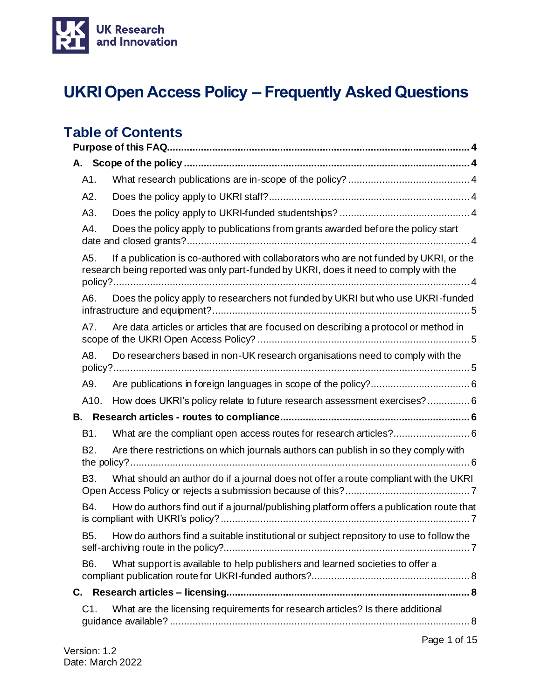

# **UKRI Open Access Policy – Frequently Asked Questions**

# **Table of Contents**

|    | A1.              |                                                                                                                                                                                |  |  |  |  |  |  |
|----|------------------|--------------------------------------------------------------------------------------------------------------------------------------------------------------------------------|--|--|--|--|--|--|
|    | A2.              |                                                                                                                                                                                |  |  |  |  |  |  |
|    | A3.              |                                                                                                                                                                                |  |  |  |  |  |  |
|    | A4.              | Does the policy apply to publications from grants awarded before the policy start                                                                                              |  |  |  |  |  |  |
|    | A5.              | If a publication is co-authored with collaborators who are not funded by UKRI, or the<br>research being reported was only part-funded by UKRI, does it need to comply with the |  |  |  |  |  |  |
|    | A6.              | Does the policy apply to researchers not funded by UKRI but who use UKRI-funded                                                                                                |  |  |  |  |  |  |
|    | A7.              | Are data articles or articles that are focused on describing a protocol or method in                                                                                           |  |  |  |  |  |  |
|    | A8.              | Do researchers based in non-UK research organisations need to comply with the                                                                                                  |  |  |  |  |  |  |
|    | A9.              |                                                                                                                                                                                |  |  |  |  |  |  |
|    | A10.             | How does UKRI's policy relate to future research assessment exercises?  6                                                                                                      |  |  |  |  |  |  |
|    |                  |                                                                                                                                                                                |  |  |  |  |  |  |
|    | B1.              | What are the compliant open access routes for research articles? 6                                                                                                             |  |  |  |  |  |  |
|    | B <sub>2</sub> . | Are there restrictions on which journals authors can publish in so they comply with                                                                                            |  |  |  |  |  |  |
|    | B <sub>3</sub> . | What should an author do if a journal does not offer a route compliant with the UKRI                                                                                           |  |  |  |  |  |  |
|    | B4.              | How do authors find out if a journal/publishing platform offers a publication route that                                                                                       |  |  |  |  |  |  |
|    |                  | B5. How do authors find a suitable institutional or subject repository to use to follow the                                                                                    |  |  |  |  |  |  |
|    | B <sub>6</sub> . | What support is available to help publishers and learned societies to offer a                                                                                                  |  |  |  |  |  |  |
| С. |                  |                                                                                                                                                                                |  |  |  |  |  |  |
|    | C1.              | What are the licensing requirements for research articles? Is there additional                                                                                                 |  |  |  |  |  |  |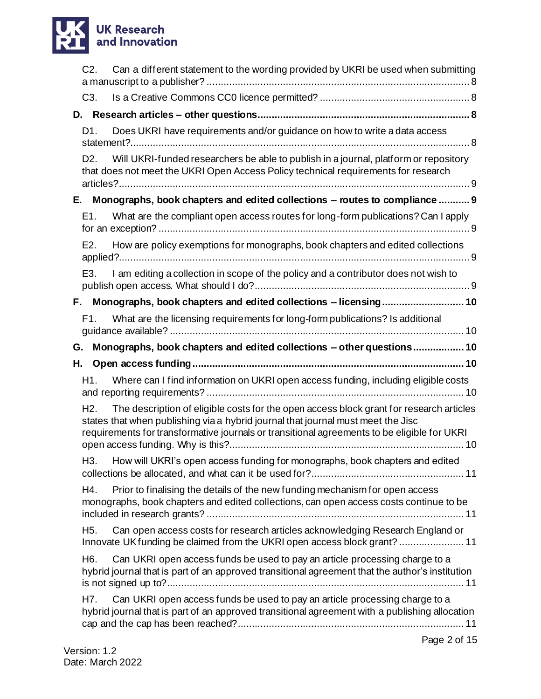# **UK Research<br>and Innovation**

|    | $C2$ .           | Can a different statement to the wording provided by UKRI be used when submitting                                                                                                                                                                                          |
|----|------------------|----------------------------------------------------------------------------------------------------------------------------------------------------------------------------------------------------------------------------------------------------------------------------|
|    | C <sub>3</sub> . |                                                                                                                                                                                                                                                                            |
| D. |                  |                                                                                                                                                                                                                                                                            |
|    | D1.              | Does UKRI have requirements and/or guidance on how to write a data access                                                                                                                                                                                                  |
|    | D <sub>2</sub> . | Will UKRI-funded researchers be able to publish in a journal, platform or repository<br>that does not meet the UKRI Open Access Policy technical requirements for research                                                                                                 |
|    |                  | E. Monographs, book chapters and edited collections - routes to compliance  9                                                                                                                                                                                              |
|    | E1.              | What are the compliant open access routes for long-form publications? Can I apply                                                                                                                                                                                          |
|    | E2.              | How are policy exemptions for monographs, book chapters and edited collections                                                                                                                                                                                             |
|    | E3.              | I am editing a collection in scope of the policy and a contributor does not wish to                                                                                                                                                                                        |
|    |                  | F. Monographs, book chapters and edited collections - licensing 10                                                                                                                                                                                                         |
|    | F1.              | What are the licensing requirements for long-form publications? Is additional                                                                                                                                                                                              |
| G. |                  | Monographs, book chapters and edited collections - other questions 10                                                                                                                                                                                                      |
|    |                  |                                                                                                                                                                                                                                                                            |
| Н. |                  |                                                                                                                                                                                                                                                                            |
|    | H1.              | Where can I find information on UKRI open access funding, including eligible costs                                                                                                                                                                                         |
|    | H2.              | The description of eligible costs for the open access block grant for research articles<br>states that when publishing via a hybrid journal that journal must meet the Jisc<br>requirements for transformative journals or transitional agreements to be eligible for UKRI |
|    | H3.              | How will UKRI's open access funding for monographs, book chapters and edited                                                                                                                                                                                               |
|    | H4.              | Prior to finalising the details of the new funding mechanism for open access<br>monographs, book chapters and edited collections, can open access costs continue to be                                                                                                     |
|    | H5.              | Can open access costs for research articles acknowledging Research England or<br>Innovate UK funding be claimed from the UKRI open access block grant?  11                                                                                                                 |
|    | H6.              | Can UKRI open access funds be used to pay an article processing charge to a<br>hybrid journal that is part of an approved transitional agreement that the author's institution                                                                                             |
|    | H7.              | Can UKRI open access funds be used to pay an article processing charge to a<br>hybrid journal that is part of an approved transitional agreement with a publishing allocation                                                                                              |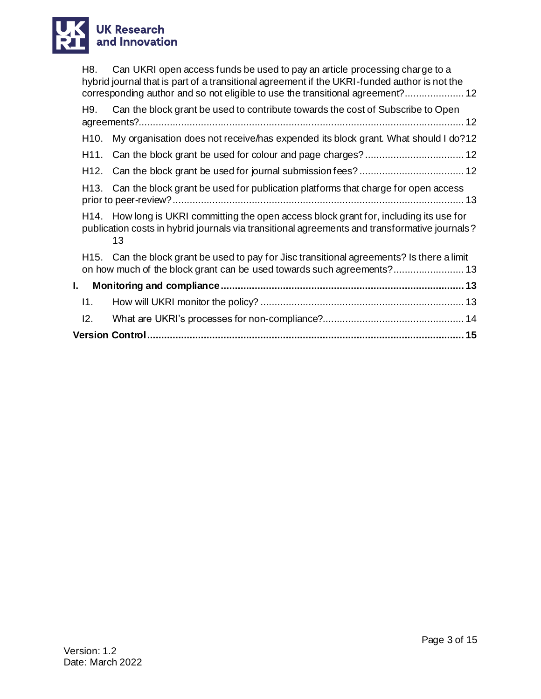

| Can UKRI open access funds be used to pay an article processing charge to a<br>H8.<br>hybrid journal that is part of a transitional agreement if the UKRI-funded author is not the             |  |  |  |  |  |
|------------------------------------------------------------------------------------------------------------------------------------------------------------------------------------------------|--|--|--|--|--|
| corresponding author and so not eligible to use the transitional agreement? 12                                                                                                                 |  |  |  |  |  |
| Can the block grant be used to contribute towards the cost of Subscribe to Open<br>H9.                                                                                                         |  |  |  |  |  |
| My organisation does not receive/has expended its block grant. What should I do?12<br>H <sub>10</sub> .                                                                                        |  |  |  |  |  |
|                                                                                                                                                                                                |  |  |  |  |  |
|                                                                                                                                                                                                |  |  |  |  |  |
| H13. Can the block grant be used for publication platforms that charge for open access                                                                                                         |  |  |  |  |  |
| H14. How long is UKRI committing the open access block grant for, including its use for<br>publication costs in hybrid journals via transitional agreements and transformative journals?<br>13 |  |  |  |  |  |
| H15. Can the block grant be used to pay for Jisc transitional agreements? Is there a limit                                                                                                     |  |  |  |  |  |
| I.                                                                                                                                                                                             |  |  |  |  |  |
| 11.                                                                                                                                                                                            |  |  |  |  |  |
| 12.                                                                                                                                                                                            |  |  |  |  |  |
|                                                                                                                                                                                                |  |  |  |  |  |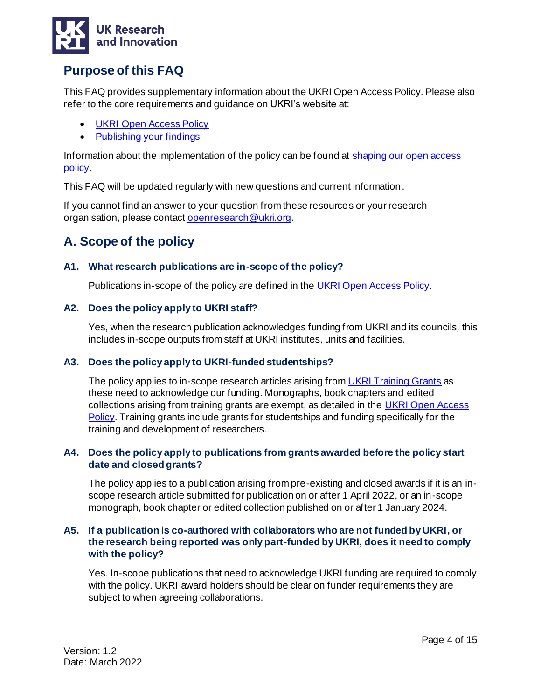

# <span id="page-3-0"></span>**Purpose of this FAQ**

This FAQ provides supplementary information about the UKRI Open Access Policy. Please also refer to the core requirements and guidance on UKRI's website at:

- [UKRI Open Access Policy](https://www.ukri.org/publications/ukri-open-access-policy/)
- [Publishing your findings](https://www.ukri.org/manage-your-award/publishing-your-research-findings/#contents-list)

Information about the implementation of the policy can be found a[t shaping our open access](https://www.ukri.org/our-work/supporting-healthy-research-and-innovation-culture/open-research/open-access-policies-review/)  [policy.](https://www.ukri.org/our-work/supporting-healthy-research-and-innovation-culture/open-research/open-access-policies-review/)

This FAQ will be updated regularly with new questions and current information.

If you cannot find an answer to your question from these resources or your research organisation, please contact [openresearch@ukri.org](mailto:openresearch@ukri.org).

# <span id="page-3-1"></span>**A. Scope of the policy**

#### <span id="page-3-2"></span>**A1. What research publications are in-scope of the policy?**

Publications in-scope of the policy are defined in th[e UKRI Open Access Policy.](https://www.ukri.org/publications/ukri-open-access-policy/)

#### <span id="page-3-3"></span>**A2. Does the policy apply to UKRI staff?**

Yes, when the research publication acknowledges funding from UKRI and its councils*,* this includes in-scope outputs from staff at UKRI institutes, units and facilities.

#### <span id="page-3-4"></span>**A3. Does the policy apply to UKRI-funded studentships?**

The policy applies to in-scope research articles arising fro[m UKRI Training Grants](https://www.ukri.org/manage-your-award/meeting-ukri-terms-and-conditions-for-funding/) as these need to acknowledge our funding. Monographs, book chapters and edited collections arising from training grants are exempt, as detailed in the UKRI Open Access **Policy**. Training grants include grants for studentships and funding specifically for the training and development of researchers.

#### <span id="page-3-5"></span>**A4. Does the policy apply to publications from grants awarded before the policy start date and closed grants?**

The policy applies to a publication arising from pre-existing and closed awards if it is an inscope research article submitted for publication on or after 1 April 2022, or an in-scope monograph, book chapter or edited collection published on or after 1 January 2024.

#### <span id="page-3-6"></span>**A5. If a publication is co-authored with collaborators who are not funded by UKRI, or the research being reported was only part-funded by UKRI, does it need to comply with the policy?**

Yes. In-scope publications that need to acknowledge UKRI funding are required to comply with the policy. UKRI award holders should be clear on funder requirements they are subject to when agreeing collaborations.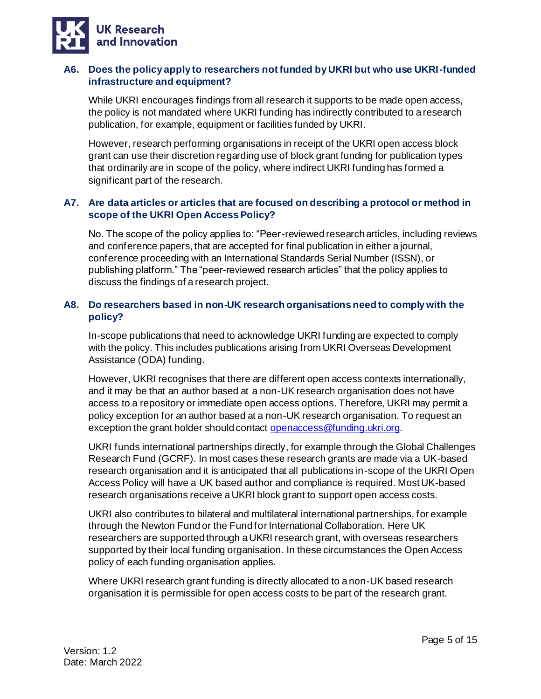

#### <span id="page-4-0"></span>**A6. Does the policy apply to researchers not funded by UKRI but who use UKRI-funded infrastructure and equipment?**

While UKRI encourages findings from all research it supports to be made open access, the policy is not mandated where UKRI funding has indirectly contributed to a research publication, for example, equipment or facilities funded by UKRI.

However, research performing organisations in receipt of the UKRI open access block grant can use their discretion regarding use of block grant funding for publication types that ordinarily are in scope of the policy, where indirect UKRI funding has formed a significant part of the research.

#### <span id="page-4-1"></span>**A7. Are data articles or articles that are focused on describing a protocol or method in scope of the UKRI Open Access Policy?**

No. The scope of the policy applies to: "Peer-reviewed research articles, including reviews and conference papers, that are accepted for final publication in either a journal, conference proceeding with an International Standards Serial Number (ISSN), or publishing platform." The "peer-reviewed research articles" that the policy applies to discuss the findings of a research project.

#### <span id="page-4-2"></span>**A8. Do researchers based in non-UK research organisations need to comply with the policy?**

In-scope publications that need to acknowledge UKRI funding are expected to comply with the policy. This includes publications arising from UKRI Overseas Development Assistance (ODA) funding.

However, UKRI recognises that there are different open access contexts internationally, and it may be that an author based at a non-UK research organisation does not have access to a repository or immediate open access options. Therefore, UKRI may permit a policy exception for an author based at a non-UK research organisation. To request an exception the grant holder should contac[t openaccess@funding.ukri.org.](mailto:openaccess@funding.ukri.org)

UKRI funds international partnerships directly, for example through the Global Challenges Research Fund (GCRF). In most cases these research grants are made via a UK-based research organisation and it is anticipated that all publications in-scope of the UKRI Open Access Policy will have a UK based author and compliance is required. Most UK-based research organisations receive a UKRI block grant to support open access costs.

UKRI also contributes to bilateral and multilateral international partnerships, for example through the Newton Fund or the Fund for International Collaboration. Here UK researchers are supported through a UKRI research grant, with overseas researchers supported by their local funding organisation. In these circumstances the Open Access policy of each funding organisation applies.

Where UKRI research grant funding is directly allocated to a non-UK based research organisation it is permissible for open access costs to be part of the research grant.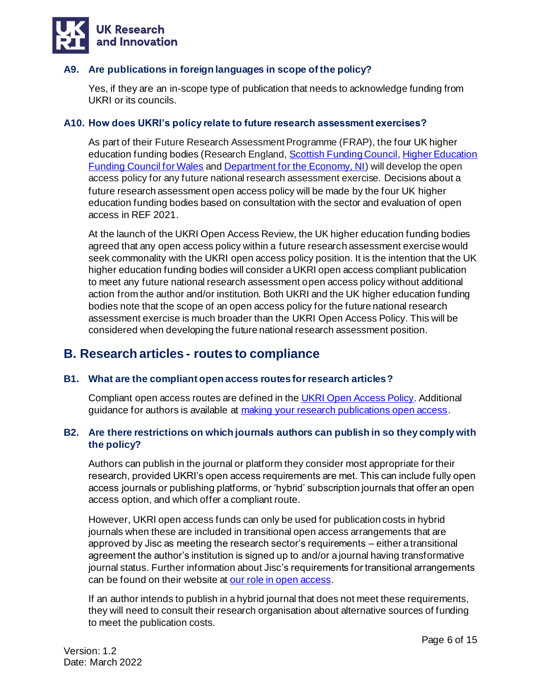

#### <span id="page-5-0"></span>**A9. Are publications in foreign languages in scope of the policy?**

Yes, if they are an in-scope type of publication that needs to acknowledge funding from UKRI or its councils.

#### <span id="page-5-1"></span>**A10. How does UKRI's policy relate to future research assessment exercises?**

As part of their Future Research Assessment Programme (FRAP), the four UK higher education funding bodies (Research England, [Scottish Funding Council](http://www.sfc.ac.uk/), Higher Education [Funding Council for Wales](https://www.hefcw.ac.uk/) and [Department for the Economy, NI\)](https://www.economy-ni.gov.uk/articles/higher-education-research-excellence-framework) will develop the open access policy for any future national research assessment exercise. Decisions about a future research assessment open access policy will be made by the four UK higher education funding bodies based on consultation with the sector and evaluation of open access in REF 2021.

At the launch of the UKRI Open Access Review, the UK higher education funding bodies agreed that any open access policy within a future research assessment exercise would seek commonality with the UKRI open access policy position. It is the intention that the UK higher education funding bodies will consider a UKRI open access compliant publication to meet any future national research assessment open access policy without additional action from the author and/or institution. Both UKRI and the UK higher education funding bodies note that the scope of an open access policy for the future national research assessment exercise is much broader than the UKRI Open Access Policy. This will be considered when developing the future national research assessment position.

## <span id="page-5-2"></span>**B. Research articles - routes to compliance**

#### <span id="page-5-3"></span>**B1. What are the compliant open access routes for research articles?**

Compliant open access routes are defined in th[e UKRI Open Access Policy.](https://www.ukri.org/publications/ukri-open-access-policy/) Additional guidance for authors is available at [making your research publications open access](https://www.ukri.org/manage-your-award/publishing-your-research-findings/making-your-research-publications-open-access/#contents-list).

#### <span id="page-5-4"></span>**B2. Are there restrictions on which journals authors can publish in so they comply with the policy?**

Authors can publish in the journal or platform they consider most appropriate for their research, provided UKRI's open access requirements are met. This can include fully open access journals or publishing platforms, or 'hybrid' subscription journals that offer an open access option, and which offer a compliant route.

However, UKRI open access funds can only be used for publication costs in hybrid journals when these are included in transitional open access arrangements that are approved by Jisc as meeting the research sector's requirements – either a transitional agreement the author's institution is signed up to and/or a journal having transformative journal status. Further information about Jisc's requirements for transitional arrangements can be found on their website at [our role in open access.](https://www.jisc.ac.uk/content/open-access/our-role#collections)

If an author intends to publish in a hybrid journal that does not meet these requirements, they will need to consult their research organisation about alternative sources of funding to meet the publication costs.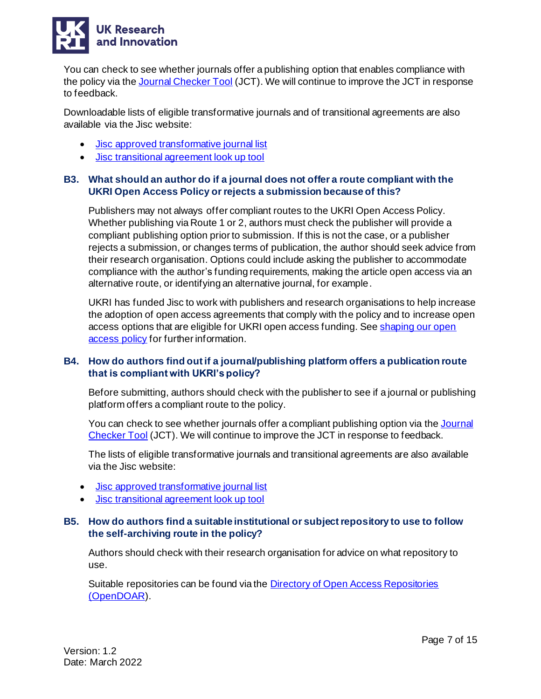

You can check to see whether journals offer a publishing option that enables compliance with the policy via the [Journal Checker Tool](https://journalcheckertool.org/) (JCT). We will continue to improve the JCT in response to feedback.

Downloadable lists of eligible transformative journals and of transitional agreements are also available via the Jisc website:

- [Jisc approved transformative journal list](https://v2.sherpa.ac.uk/romeo/tjlists.html)
- <span id="page-6-0"></span>• [Jisc transitional agreement look up tool](https://agreements.sherpa.ac.uk/)

#### **B3. What should an author do if a journal does not offer a route compliant with the UKRI Open Access Policy or rejects a submission because of this?**

Publishers may not always offer compliant routes to the UKRI Open Access Policy. Whether publishing via Route 1 or 2, authors must check the publisher will provide a compliant publishing option prior to submission. If this is not the case, or a publisher rejects a submission, or changes terms of publication, the author should seek advice from their research organisation. Options could include asking the publisher to accommodate compliance with the author's funding requirements, making the article open access via an alternative route, or identifying an alternative journal, for example.

UKRI has funded Jisc to work with publishers and research organisations to help increase the adoption of open access agreements that comply with the policy and to increase open access options that are eligible for UKRI open access funding. See shaping our open [access policy](https://www.ukri.org/our-work/supporting-healthy-research-and-innovation-culture/open-research/open-access-policies-review/) for further information.

#### <span id="page-6-1"></span>**B4. How do authors find out if a journal/publishing platform offers a publication route that is compliant with UKRI's policy?**

Before submitting, authors should check with the publisher to see if a journal or publishing platform offers a compliant route to the policy.

You can check to see whether journals offer a compliant publishing option via the Journal [Checker Tool](https://journalcheckertool.org/) (JCT). We will continue to improve the JCT in response to feedback.

The lists of eligible transformative journals and transitional agreements are also available via the Jisc website:

- [Jisc approved transformative journal list](https://v2.sherpa.ac.uk/romeo/tjlists.html)
- <span id="page-6-2"></span>• [Jisc transitional agreement look up tool](https://agreements.sherpa.ac.uk/)

#### **B5. How do authors find a suitable institutional or subject repository to use to follow the self-archiving route in the policy?**

Authors should check with their research organisation for advice on what repository to use.

Suitable repositories can be found via the [Directory of Open Access Repositories](https://www.jisc.ac.uk/opendoar)  [\(OpenDOAR\)](https://www.jisc.ac.uk/opendoar).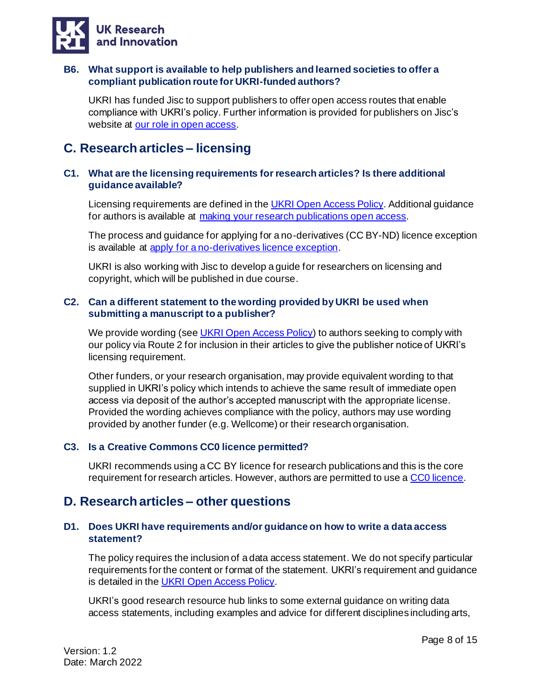

#### <span id="page-7-0"></span>**B6. What support is available to help publishers and learned societies to offer a compliant publication route for UKRI-funded authors?**

UKRI has funded Jisc to support publishers to offer open access routes that enable compliance with UKRI's policy. Further information is provided for publishers on Jisc's website at [our role in open access.](https://www.jisc.ac.uk/content/open-access/our-role#ukri)

# <span id="page-7-1"></span>**C. Research articles – licensing**

#### <span id="page-7-2"></span>**C1. What are the licensing requirements for research articles? Is there additional guidance available?**

Licensing requirements are defined in the UKRI Open [Access Policy.](https://www.ukri.org/publications/ukri-open-access-policy/) Additional guidance for authors is available at [making your research publications open access.](https://www.ukri.org/manage-your-award/publishing-your-research-findings/making-your-research-publications-open-access/#contents-list)

The process and guidance for applying for a no-derivatives (CC BY-ND) licence exception is available at [apply for a no-derivatives licence exception.](https://www.ukri.org/publications/no-derivatives-licence-exception/)

UKRI is also working with Jisc to develop a guide for researchers on licensing and copyright, which will be published in due course.

#### <span id="page-7-3"></span>**C2. Can a different statement to the wording provided by UKRI be used when submitting a manuscript to a publisher?**

We provide wording (se[e UKRI Open Access Policy](https://www.ukri.org/publications/ukri-open-access-policy/)) to authors seeking to comply with our policy via Route 2 for inclusion in their articles to give the publisher notice of UKRI's licensing requirement.

Other funders, or your research organisation, may provide equivalent wording to that supplied in UKRI's policy which intends to achieve the same result of immediate open access via deposit of the author's accepted manuscript with the appropriate license. Provided the wording achieves compliance with the policy, authors may use wording provided by another funder (e.g. Wellcome) or their research organisation.

#### <span id="page-7-4"></span>**C3. Is a Creative Commons CC0 licence permitted?**

UKRI recommends using a CC BY licence for research publications and this is the core requirement for research articles. However, authors are permitted to use a [CC0 licence.](https://creativecommons.org/publicdomain/zero/1.0/)

### <span id="page-7-5"></span>**D. Research articles – other questions**

#### <span id="page-7-6"></span>**D1. Does UKRI have requirements and/or guidance on how to write a data access statement?**

The policy requires the inclusion of a data access statement. We do not specify particular requirements for the content or format of the statement. UKRI's requirement and guidance is detailed in the [UKRI Open Access Policy.](https://www.ukri.org/publications/ukri-open-access-policy/)

UKRI's good research resource hub links to some external guidance on writing data access statements, including examples and advice for different disciplines including arts,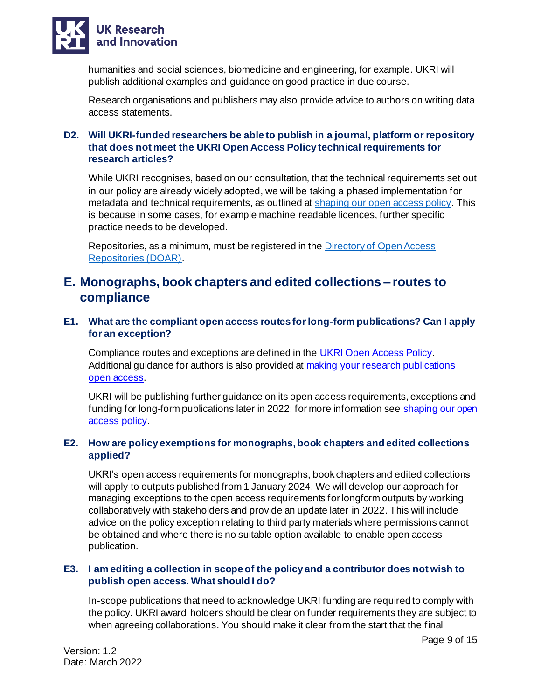

humanities and social sciences, biomedicine and engineering, for example. UKRI will publish additional examples and guidance on good practice in due course.

Research organisations and publishers may also provide advice to authors on writing data access statements.

#### <span id="page-8-0"></span>**D2. Will UKRI-funded researchers be able to publish in a journal, platform or repository that does not meet the UKRI Open Access Policy technical requirements for research articles?**

While UKRI recognises, based on our consultation, that the technical requirements set out in our policy are already widely adopted, we will be taking a phased implementation for metadata and technical requirements, as outlined at [shaping our open access policy.](https://www.ukri.org/our-work/supporting-healthy-research-and-innovation-culture/open-research/open-access-policies-review/) This is because in some cases, for example machine readable licences, further specific practice needs to be developed.

Repositories, as a minimum, must be registered in th[e Directory of Open Access](https://v2.sherpa.ac.uk/opendoar/)  [Repositories \(DOAR\).](https://v2.sherpa.ac.uk/opendoar/)

## <span id="page-8-1"></span>**E. Monographs, book chapters and edited collections – routes to compliance**

#### <span id="page-8-2"></span>**E1. What are the compliant open access routes for long-form publications? Can I apply for an exception?**

Compliance routes and exceptions are defined in th[e UKRI Open Access Policy.](https://www.ukri.org/publications/ukri-open-access-policy/) Additional guidance for authors is also provided at [making your research publications](https://www.ukri.org/manage-your-award/publishing-your-research-findings/making-your-research-publications-open-access/#contents-list)  [open access.](https://www.ukri.org/manage-your-award/publishing-your-research-findings/making-your-research-publications-open-access/#contents-list)

UKRI will be publishing further guidance on its open access requirements, exceptions and funding for long-form publications later in 2022; for more information see shaping our open [access policy.](https://www.ukri.org/our-work/supporting-healthy-research-and-innovation-culture/open-research/open-access-policies-review/)

#### <span id="page-8-3"></span>**E2. How are policy exemptions for monographs, book chapters and edited collections applied?**

UKRI's open access requirements for monographs, book chapters and edited collections will apply to outputs published from 1 January 2024. We will develop our approach for managing exceptions to the open access requirements for longform outputs by working collaboratively with stakeholders and provide an update later in 2022. This will include advice on the policy exception relating to third party materials where permissions cannot be obtained and where there is no suitable option available to enable open access publication.

#### <span id="page-8-4"></span>**E3. I am editing a collection in scope of the policy and a contributor does not wish to publish open access. What should I do?**

In-scope publications that need to acknowledge UKRI funding are required to comply with the policy. UKRI award holders should be clear on funder requirements they are subject to when agreeing collaborations. You should make it clear from the start that the final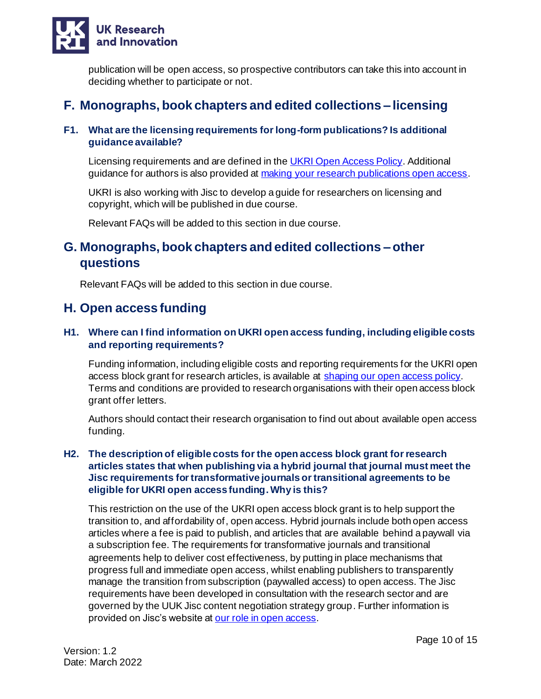

publication will be open access, so prospective contributors can take this into account in deciding whether to participate or not.

# <span id="page-9-0"></span>**F. Monographs, book chapters and edited collections – licensing**

#### <span id="page-9-1"></span>**F1. What are the licensing requirements for long-form publications? Is additional guidance available?**

Licensing requirements and are defined in th[e UKRI Open Access Policy.](https://www.ukri.org/publications/ukri-open-access-policy/) Additional guidance for authors is also provided at [making your research publications open access](https://www.ukri.org/manage-your-award/publishing-your-research-findings/making-your-research-publications-open-access/#contents-list).

UKRI is also working with Jisc to develop a guide for researchers on licensing and copyright, which will be published in due course.

Relevant FAQs will be added to this section in due course.

# <span id="page-9-2"></span>**G. Monographs, book chapters and edited collections – other questions**

Relevant FAQs will be added to this section in due course.

## <span id="page-9-3"></span>**H. Open access funding**

#### <span id="page-9-4"></span>**H1. Where can I find information on UKRI open access funding, including eligible costs and reporting requirements?**

Funding information, including eligible costs and reporting requirements for the UKRI open access block grant for research articles, is available at [shaping our open access policy.](https://www.ukri.org/our-work/supporting-healthy-research-and-innovation-culture/open-research/open-access-policies-review/) Terms and conditions are provided to research organisations with their open access block grant offer letters.

Authors should contact their research organisation to find out about available open access funding.

#### <span id="page-9-5"></span>**H2. The description of eligible costs for the open access block grant for research articles states that when publishing via a hybrid journal that journal must meet the Jisc requirements for transformative journals or transitional agreements to be eligible for UKRI open access funding.Why is this?**

This restriction on the use of the UKRI open access block grant is to help support the transition to, and affordability of, open access. Hybrid journals include both open access articles where a fee is paid to publish, and articles that are available behind a paywall via a subscription fee. The requirements for transformative journals and transitional agreements help to deliver cost effectiveness, by putting in place mechanisms that progress full and immediate open access, whilst enabling publishers to transparently manage the transition from subscription (paywalled access) to open access. The Jisc requirements have been developed in consultation with the research sector and are governed by the UUK Jisc content negotiation strategy group. Further information is provided on Jisc's website at [our role in open access.](https://www.jisc.ac.uk/content/open-access/our-role#collections)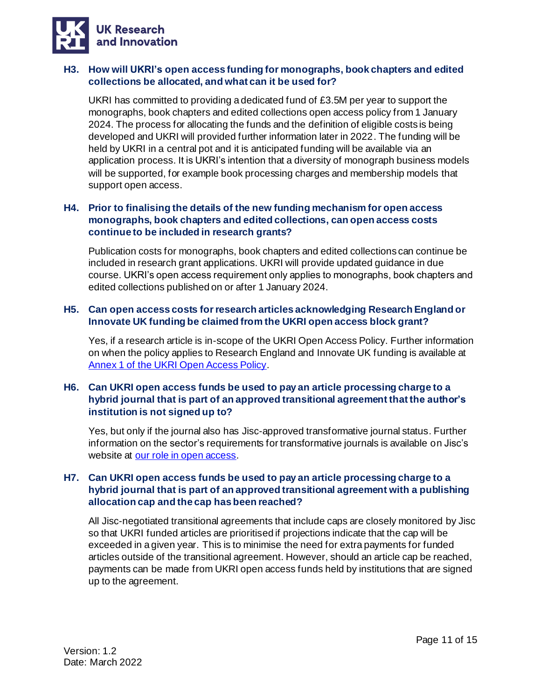

#### <span id="page-10-0"></span>**H3. How will UKRI's open access funding for monographs, book chapters and edited collections be allocated, and what can it be used for?**

UKRI has committed to providing a dedicated fund of £3.5M per year to support the monographs, book chapters and edited collections open access policy from 1 January 2024. The process for allocating the funds and the definition of eligible costs is being developed and UKRI will provided further information later in 2022. The funding will be held by UKRI in a central pot and it is anticipated funding will be available via an application process. It is UKRI's intention that a diversity of monograph business models will be supported, for example book processing charges and membership models that support open access.

#### <span id="page-10-1"></span>**H4. Prior to finalising the details of the new funding mechanism for open access monographs, book chapters and edited collections, can open access costs continue to be included in research grants?**

Publication costs for monographs, book chapters and edited collections can continue be included in research grant applications. UKRI will provide updated guidance in due course. UKRI's open access requirement only applies to monographs, book chapters and edited collections published on or after 1 January 2024.

#### <span id="page-10-2"></span>**H5. Can open access costs for research articles acknowledging Research England or Innovate UK funding be claimed from the UKRI open access block grant?**

Yes, if a research article is in-scope of the UKRI Open Access Policy. Further information on when the policy applies to Research England and Innovate UK funding is available at [Annex 1 of the UKRI Open Access Policy.](https://www.ukri.org/publications/ukri-open-access-policy/)

#### <span id="page-10-3"></span>**H6. Can UKRI open access funds be used to pay an article processing charge to a hybrid journal that is part of an approved transitional agreement that the author's institution is not signed up to?**

Yes, but only if the journal also has Jisc-approved transformative journal status. Further information on the sector's requirements for transformative journals is available on Jisc's website at [our role in open access.](https://www.jisc.ac.uk/content/open-access/our-role#transformative-journals)

#### <span id="page-10-4"></span>**H7. Can UKRI open access funds be used to pay an article processing charge to a hybrid journal that is part of an approved transitional agreement with a publishing allocation cap and the cap has been reached?**

All Jisc-negotiated transitional agreements that include caps are closely monitored by Jisc so that UKRI funded articles are prioritised if projections indicate that the cap will be exceeded in a given year. This is to minimise the need for extra payments for funded articles outside of the transitional agreement. However, should an article cap be reached, payments can be made from UKRI open access funds held by institutions that are signed up to the agreement.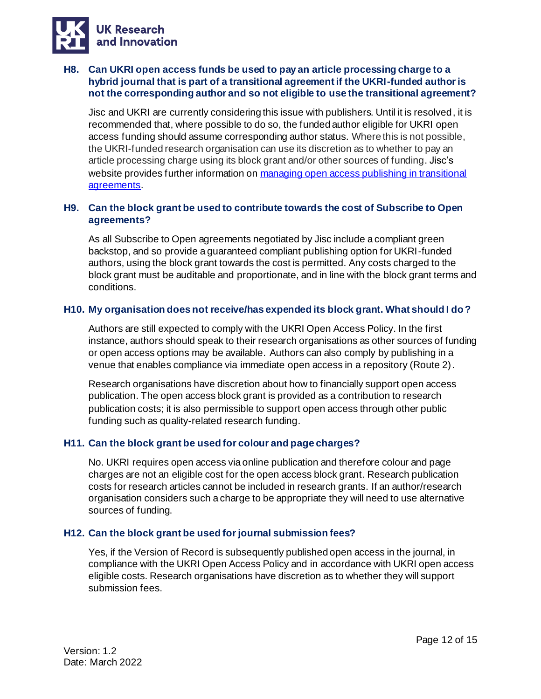

#### <span id="page-11-0"></span>**H8. Can UKRI open access funds be used to pay an article processing charge to a hybrid journal that is part of a transitional agreement if the UKRI-funded author is not the corresponding author and so not eligible to use the transitional agreement?**

Jisc and UKRI are currently considering this issue with publishers. Until it is resolved, it is recommended that, where possible to do so, the funded author eligible for UKRI open access funding should assume corresponding author status. Where this is not possible, the UKRI-funded research organisation can use its discretion as to whether to pay an article processing charge using its block grant and/or other sources of funding. Jisc's website provides further information on managing open access publishing in transitional [agreements.](https://www.jisc.ac.uk/guides/working-with-transitional-agreements/managing-oa-publishing)

#### <span id="page-11-1"></span>**H9. Can the block grant be used to contribute towards the cost of Subscribe to Open agreements?**

As all Subscribe to Open agreements negotiated by Jisc include a compliant green backstop, and so provide a guaranteed compliant publishing option for UKRI-funded authors, using the block grant towards the cost is permitted. Any costs charged to the block grant must be auditable and proportionate, and in line with the block grant terms and conditions.

#### <span id="page-11-2"></span>**H10. My organisation does not receive/has expended its block grant. What should I do?**

Authors are still expected to comply with the UKRI Open Access Policy. In the first instance, authors should speak to their research organisations as other sources of funding or open access options may be available. Authors can also comply by publishing in a venue that enables compliance via immediate open access in a repository (Route 2).

Research organisations have discretion about how to financially support open access publication. The open access block grant is provided as a contribution to research publication costs; it is also permissible to support open access through other public funding such as quality-related research funding.

#### <span id="page-11-3"></span>**H11. Can the block grant be used for colour and page charges?**

No. UKRI requires open access via online publication and therefore colour and page charges are not an eligible cost for the open access block grant. Research publication costs for research articles cannot be included in research grants. If an author/research organisation considers such a charge to be appropriate they will need to use alternative sources of funding.

#### <span id="page-11-4"></span>**H12. Can the block grant be used for journal submission fees?**

Yes, if the Version of Record is subsequently published open access in the journal, in compliance with the UKRI Open Access Policy and in accordance with UKRI open access eligible costs. Research organisations have discretion as to whether they will support submission fees.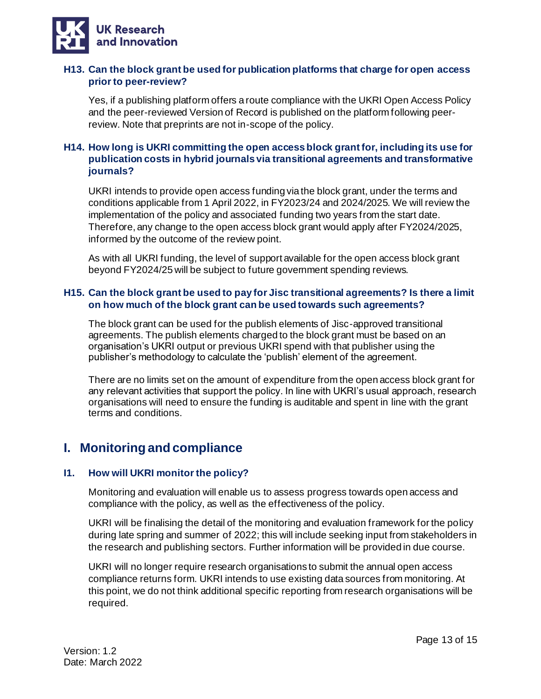

#### <span id="page-12-0"></span>**H13. Can the block grant be used for publication platforms that charge for open access prior to peer-review?**

Yes, if a publishing platform offers a route compliance with the UKRI Open Access Policy and the peer-reviewed Version of Record is published on the platform following peerreview. Note that preprints are not in-scope of the policy.

#### <span id="page-12-1"></span>**H14. How long is UKRI committing the open access block grant for, including its use for publication costs in hybrid journals via transitional agreements and transformative journals?**

UKRI intends to provide open access funding via the block grant, under the terms and conditions applicable from 1 April 2022, in FY2023/24 and 2024/2025. We will review the implementation of the policy and associated funding two years from the start date. Therefore, any change to the open access block grant would apply after FY2024/2025, informed by the outcome of the review point.

As with all UKRI funding, the level of support available for the open access block grant beyond FY2024/25 will be subject to future government spending reviews.

#### <span id="page-12-2"></span>**H15. Can the block grant be used to pay for Jisc transitional agreements? Is there a limit on how much of the block grant can be used towards such agreements?**

The block grant can be used for the publish elements of Jisc-approved transitional agreements. The publish elements charged to the block grant must be based on an organisation's UKRI output or previous UKRI spend with that publisher using the publisher's methodology to calculate the 'publish' element of the agreement.

There are no limits set on the amount of expenditure from the open access block grant for any relevant activities that support the policy. In line with UKRI's usual approach, research organisations will need to ensure the funding is auditable and spent in line with the grant terms and conditions.

# <span id="page-12-3"></span>**I. Monitoring and compliance**

#### <span id="page-12-4"></span>**I1. How will UKRI monitor the policy?**

Monitoring and evaluation will enable us to assess progress towards open access and compliance with the policy, as well as the effectiveness of the policy.

UKRI will be finalising the detail of the monitoring and evaluation framework for the policy during late spring and summer of 2022; this will include seeking input from stakeholders in the research and publishing sectors. Further information will be provided in due course.

UKRI will no longer require research organisations to submit the annual open access compliance returns form. UKRI intends to use existing data sources from monitoring. At this point, we do not think additional specific reporting from research organisations will be required.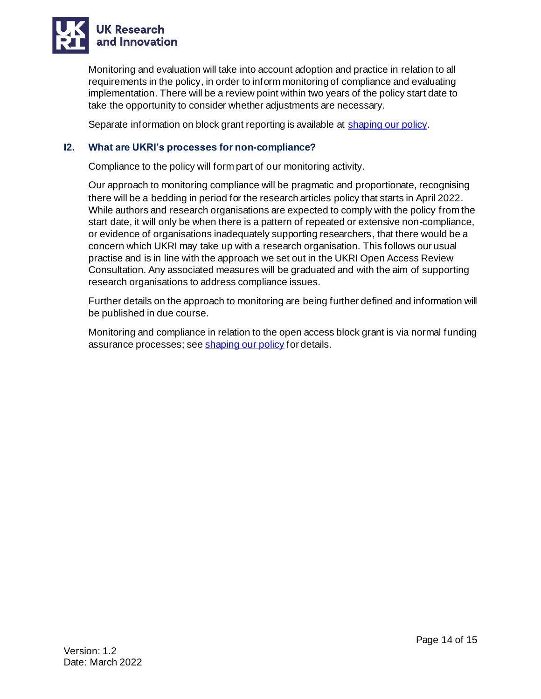

Monitoring and evaluation will take into account adoption and practice in relation to all requirements in the policy, in order to inform monitoring of compliance and evaluating implementation. There will be a review point within two years of the policy start date to take the opportunity to consider whether adjustments are necessary.

Separate information on block grant reporting is available at [shaping our policy.](https://www.ukri.org/what-we-offer/supporting-healthy-research-and-innovation-culture/open-research/open-access-policies-review/)

#### <span id="page-13-0"></span>**I2. What are UKRI's processes for non-compliance?**

Compliance to the policy will form part of our monitoring activity.

Our approach to monitoring compliance will be pragmatic and proportionate, recognising there will be a bedding in period for the research articles policy that starts in April 2022. While authors and research organisations are expected to comply with the policy from the start date, it will only be when there is a pattern of repeated or extensive non-compliance, or evidence of organisations inadequately supporting researchers, that there would be a concern which UKRI may take up with a research organisation. This follows our usual practise and is in line with the approach we set out in the UKRI Open Access Review Consultation. Any associated measures will be graduated and with the aim of supporting research organisations to address compliance issues.

Further details on the approach to monitoring are being further defined and information will be published in due course.

Monitoring and compliance in relation to the open access block grant is via normal funding assurance processes; se[e shaping our policy](https://www.ukri.org/what-we-offer/supporting-healthy-research-and-innovation-culture/open-research/open-access-policies-review/) for details.